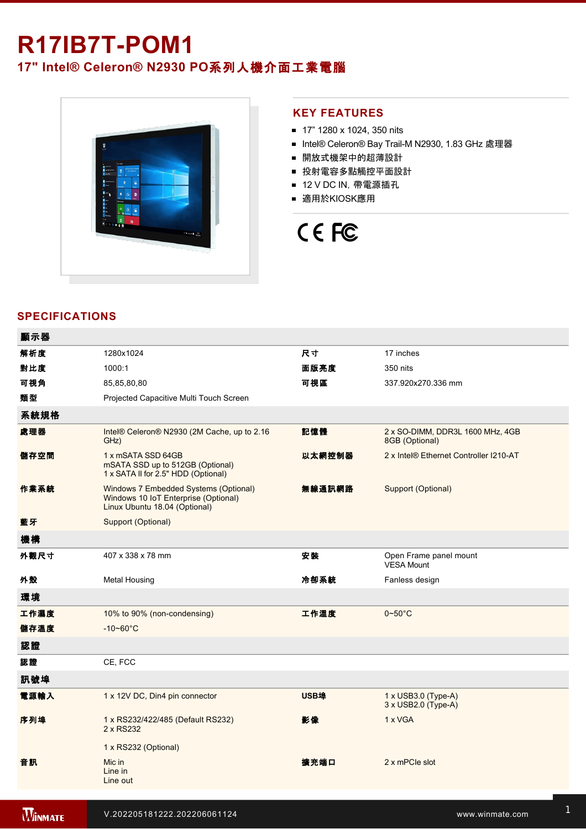# **R17IB7T-POM1**

## **17" Intel® Celeron® N2930 PO**系列人機介面工業電腦



### **KEY FEATURES**

- 17" 1280 x 1024, 350 nits
- Intel® Celeron® Bay Trail-M N2930, 1.83 GHz 處理器
- 開放式機架中的超薄設計
- 投射電容多點觸控平面設計
- 12 V DC IN, 帶電源插孔
- 適用於KIOSK應用



### **SPECIFICATIONS**

| 顯示器  |                                                                                                                |        |                                                    |
|------|----------------------------------------------------------------------------------------------------------------|--------|----------------------------------------------------|
| 解析度  | 1280x1024                                                                                                      | 尺寸     | 17 inches                                          |
| 對比度  | 1000:1                                                                                                         | 面版亮度   | 350 nits                                           |
| 可視角  | 85,85,80,80                                                                                                    | 可視區    | 337.920x270.336 mm                                 |
| 類型   | Projected Capacitive Multi Touch Screen                                                                        |        |                                                    |
| 系統規格 |                                                                                                                |        |                                                    |
| 處理器  | Intel® Celeron® N2930 (2M Cache, up to 2.16<br>GHz)                                                            | 記憶體    | 2 x SO-DIMM, DDR3L 1600 MHz, 4GB<br>8GB (Optional) |
| 儲存空間 | 1 x mSATA SSD 64GB<br>mSATA SSD up to 512GB (Optional)<br>1 x SATA II for 2.5" HDD (Optional)                  | 以太網控制器 | 2 x Intel® Ethernet Controller I210-AT             |
| 作業系統 | Windows 7 Embedded Systems (Optional)<br>Windows 10 IoT Enterprise (Optional)<br>Linux Ubuntu 18.04 (Optional) | 無線通訊網路 | Support (Optional)                                 |
| 藍牙   | Support (Optional)                                                                                             |        |                                                    |
| 機構   |                                                                                                                |        |                                                    |
| 外觀尺寸 | 407 x 338 x 78 mm                                                                                              | 安裝     | Open Frame panel mount<br><b>VESA Mount</b>        |
| 外殼   | <b>Metal Housing</b>                                                                                           | 冷卻系統   | Fanless design                                     |
| 環境   |                                                                                                                |        |                                                    |
| 工作濕度 | 10% to 90% (non-condensing)                                                                                    | 工作溫度   | $0 - 50$ °C                                        |
| 儲存溫度 | $-10 - 60^{\circ}C$                                                                                            |        |                                                    |
| 認證   |                                                                                                                |        |                                                    |
| 認證   | CE, FCC                                                                                                        |        |                                                    |
| 訊號埠  |                                                                                                                |        |                                                    |
| 電源輸入 | 1 x 12V DC, Din4 pin connector                                                                                 | USB埠   | $1 \times$ USB3.0 (Type-A)<br>3 x USB2.0 (Type-A)  |
| 序列埠  | 1 x RS232/422/485 (Default RS232)<br>2 x RS232                                                                 | 影像     | 1 x VGA                                            |
|      | 1 x RS232 (Optional)                                                                                           |        |                                                    |
| 音訊   | Mic in<br>Line in<br>Line out                                                                                  | 擴充端口   | 2 x mPCle slot                                     |
|      |                                                                                                                |        |                                                    |